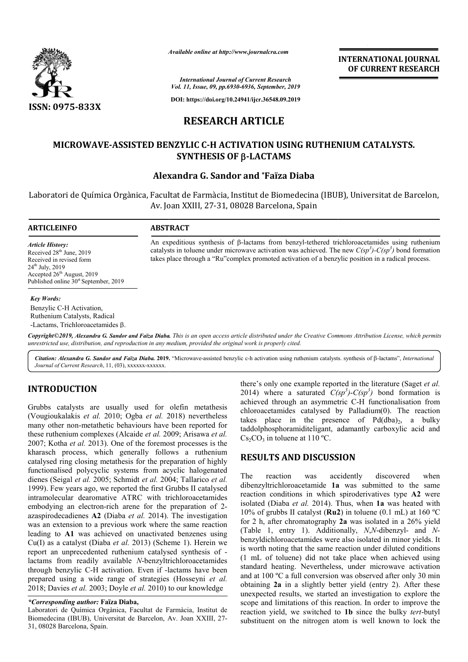

*Available online at http://www.journalcra.com*

**INTERNATIONAL JOURNAL OF CURRENT RESEARCH**

*International Journal of Current Research Vol. 11, Issue, 09, pp.6930-6936, September, 2019*

**DOI: https://doi.org/10.24941/ijcr.36548.09.2019**

# **RESEARCH ARTICLE**

# **MICROWAVE-ASSISTED BENZYLIC C C-H ACTIVATION USING RUTHENIUM CATALYSTS. H ACTIVATION USING CATALYSTS. SYNTHESIS OF -LACTAMS**

# **Alexandra G. Sandor and \*Faïza Diaba**

Laboratori de Química Orgànica, Facultat de Farmàcia, Institut de Biomedecina (IBUB), Universitat de Barcelon, Av. Joan XXIII, 27 27-31, 08028 Barcelona, Spain

### **ARTICLEINFO ABSTRACT**

*Article History:* Received 28<sup>th</sup> June, 2019 Received in revised form  $24^{th}$  July,  $2019$ Accepted 26<sup>th</sup> August, 2019 Published online  $30<sup>st</sup>$  September, 2019

#### *Key Words:*

Benzylic C-H Activation, Ruthenium Catalysts, Radical -Lactams, Trichloroacetamides  $\beta$ .

Copyright©2019, Alexandra G. Sandor and Faïza Diaba. This is an open access article distributed under the Creative Commons Attribution License, which permits *unrestricted use, distribution, and reproduction in any medium, provided the original work is properly cited.*

Citation: Alexandra G. Sandor and Faïza Diaba. 2019. "Microwave-assisted benzylic c-h activation using ruthenium catalysts. synthesis of  $\beta$ -lactams", *International Journal of Current Research*, 11, (03), xxxxxx-xxxxxx.

# **INTRODUCTION**

Grubbs catalysts are usually used for olefin metathesis (Vougioukalakis *et al.* 2010; Ogba *et al.* 2018) nevertheless many other non-metathetic behaviours have been reported for these ruthenium complexes (Alcaide *et al.* 2009; Arisawa *et al.*  2007; Kotha *et al.* 2013). One of the foremost processes is the kharasch process, which generally follows a ruthenium catalysed ring closing metathesis for the preparation of highly functionalised polycyclic systems from acyclic halogenated dienes (Seigal *et al.* 2005; Schmidt *et al.* 2004; Tallarico *et al.*  1999). Few years ago, we reported the first Grubbs II catalysed intramolecular dearomative ATRC with trichloroacetamides embodying an electron-rich arene for the preparation of 2azaspirodecadienes **A2** (Diaba *et al.* 2014). The investigation was an extension to a previous work where the same reaction leading to **A1** was achieved on unactivated benzenes using Cu(I) as a catalyst (Diaba *et al.* 2013) (Scheme 1). Herein we report an unprecedented ruthenium catalysed synthesis of lactams from readily available *N*-benzyltrichloroacetamides lactams from readily available *N*-benzyltrichloroacetamides through benzylic C-H activation. Even if -lactams have been prepared using a wide range of strategies (Hosseyni *et al.*  2018; Davies *et al.* 2003; Doyle *et al.* 2010) to our knowledge

Laboratori de Química Orgànica, Facultat de Farmàcia, Institut de Biomedecina (IBUB), Universitat de Barcelon, Av. Joan XXIII, 27 27- 31, 08028 Barcelona, Spain.

there's only one example reported in the literature (Saget et al. 2014) where a saturated  $C(sp^3)$ - $C(sp^3)$  bond formation is achieved through an asymmetric C C-H functionalisation from chloroacetamides catalysed by Palladium(0). The reaction takes place in the presence of  $Pd(dba)_2$ , a bulky taddolphosphoramiditeligant, adamantly carboxylic acid and  $Cs_2CO_3$  in toluene at 110 °C.<br> **RESULTS AND DISCUSSION**<br>
The reaction was accidently discovered when  $Cs<sub>2</sub>CO<sub>3</sub>$  in toluene at 110 °C.

## **RESULTS AND DISCUSSION**

An expeditious synthesis of  $\beta$ -lactams from benzyl-tethered trichloroacetamides using ruthenium An expeditious synthesis of  $\beta$ -lactams from benzyl-tethered trichloroacetamides using ruthenium catalysts in toluene under microwave activation was achieved. The new  $C(sp^3)$ - $C(sp^3)$  bond formation takes place through a "Ru"complex promoted activation of a benzylic position in a radical process.

The reaction was accidently discovered when dibenzyltrichloroacetamide **1a** was submitted to the same reaction conditions in which spiroderivatives type **A2** were isolated (Diaba *et al.* 2014). Thus, when **1a** was heated with 10% of grubbs II catalyst (**Ru2** ) in toluene (0.1 mL) at 160 ºC for 2 h, after chromatography 2a was isolated in a 26% yield (Table 1, entry 1). Additionally, 1). *N*,*N*-dibenzyl- and *N*benzyldichloroacetamides were also isolated in minor yields. It is worth noting that the same reaction under diluted conditions (1 mL of toluene) did not take place when achieved using standard heating. Nevertheless, under microwave activation and at 100 ºC a full conversion was observed after only 30 min obtaining **2a** in a slightly better yield (entry 2). After these unexpected results, we started an investigation to explore the scope and limitations of this reaction. In order to improve the reaction yield, we switched to **1b** since the bulky *tert*-butyl substituent on the nitrogen atom is well known to lock the izyldichloroacetamides were also isolated in minor yivorth noting that the same reaction under diluted comL of toluene) did not take place when achieved dard heating. Nevertheless, under microwave act at 100 °C a full conv **INTERNATIONAL JOURNAL**<br>
or **CURRENT RESEARCH**<br>
or **CURRENT RESEARCH**<br>
or **CURRENT RESEARCH**<br>
or **CURRENT RESEARCH**<br> **E**<br> **E**<br> **E**<br> **ESSING RUTHENIUM CATALYSTS.**<br> **MS**<br>
conditional Spain of the state of the transfer of th

*<sup>\*</sup>Corresponding author:* **Faïza Diaba,**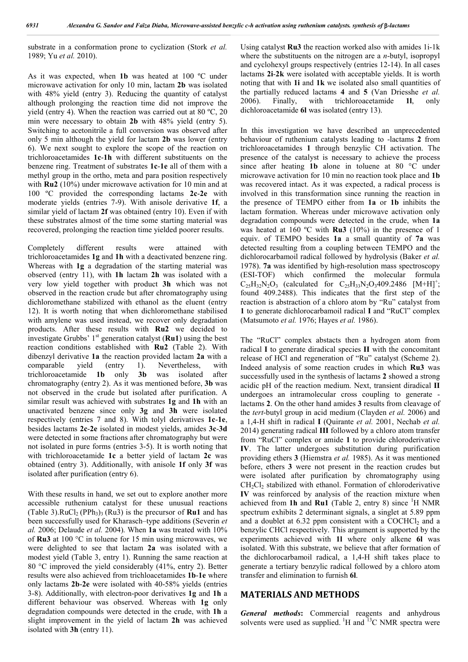substrate in a conformation prone to cyclization (Stork *et al.*  1989; Yu *et al.* 2010).

As it was expected, when **1b** was heated at 100 ºC under microwave activation for only 10 min, lactam **2b** was isolated with 48% yield (entry 3). Reducing the quantity of catalyst although prolonging the reaction time did not improve the yield (entry 4). When the reaction was carried out at 80 ºC, 20 min were necessary to obtain **2b** with 48% yield (entry 5). Switching to acetonitrile a full conversion was observed after only 5 min although the yield for lactam **2b** was lower (entry 6). We next sought to explore the scope of the reaction on trichloroacetamides **1c**-**1h** with different substituents on the benzene ring. Treatment of substrates **1c**-**1e** all of them with a methyl group in the ortho, meta and para position respectively with **Ru2** (10%) under microwave activation for 10 min and at 100 ºC provided the corresponding lactams **2c**-**2e** with moderate yields (entries 7-9). With anisole derivative **1f**, a similar yield of lactam **2f** was obtained (entry 10). Even if with these substrates almost of the time some starting material was recovered, prolonging the reaction time yielded poorer results.

Completely different results were attained with trichloroacetamides **1g** and **1h** with a deactivated benzene ring. Whereas with **1g** a degradation of the starting material was observed (entry 11), with **1h** lactam **2h** was isolated with a very low yield together with product **3h** which was not observed in the reaction crude but after chromatography using dichloromethane stabilized with ethanol as the eluent (entry 12). It is worth noting that when dichloromethane stabilised with amylene was used instead, we recover only degradation products. After these results with **Ru2** we decided to investigate Grubbs'  $1<sup>st</sup>$  generation catalyst (**Ru1**) using the best reaction conditions established with **Ru2** (Table 2). With dibenzyl derivative **1a** the reaction provided lactam **2a** with a comparable yield (entry 1). Nevertheless, with trichloroacetamide **1b** only **3b** was isolated after chromatography (entry 2). As it was mentioned before, **3b** was not observed in the crude but isolated after purification. A similar result was achieved with substrates **1g** and **1h** with an unactivated benzene since only **3g** and **3h** were isolated respectively (entries 7 and 8). With tolyl derivatives **1c**-**1e**, besides lactams **2c**-**2e** isolated in modest yields, amides **3c**-**3d** were detected in some fractions after chromatography but were not isolated in pure forms (entries 3-5). It is worth noting that with trichloroacetamide **1c** a better yield of lactam **2c** was obtained (entry 3). Additionally, with anisole **1f** only **3f** was isolated after purification (entry 6).

With these results in hand, we set out to explore another more accessible ruthenium catalyst for these unusual reactions (Table 3). $RuCl<sub>2</sub> (PPh<sub>3</sub>)$ <sub>3</sub> (Ru3) is the precursor of **Ru1** and has been successfully used for Kharasch–type additions (Severin *et al.* 2006; Delaude *et al.* 2004). When **1a** was treated with 10% of **Ru3** at 100 °C in toluene for 15 min using microwaves, we were delighted to see that lactam **2a** was isolated with a modest yield (Table 3, entry 1). Running the same reaction at 80 °C improved the yield considerably (41%, entry 2). Better results were also achieved from trichloacetamides **1b**-**1e** where only lactams **2b**-**2e** were isolated with 40-58% yields (entries 3-8). Additionally, with electron-poor derivatives **1g** and **1h** a different behaviour was observed. Whereas with **1g** only degradation compounds were detected in the crude, with **1h** a slight improvement in the yield of lactam **2h** was achieved isolated with **3h** (entry 11).

Using catalyst **Ru3** the reaction worked also with amides 1i-1k where the substituents on the nitrogen are a *n*-butyl, isopropyl and cyclohexyl groups respectively (entries 12-14). In all cases lactams **2i**-**2k** were isolated with acceptable yields. It is worth noting that with **1i** and **1k** we isolated also small quantities of the partially reduced lactams **4** and **5** (Van Driesshe *et al.*  2006). Finally, with trichloroacetamide **1l**, only dichloroacetamide **6l** was isolated (entry 13).

In this investigation we have described an unprecedented behaviour of ruthenium catalysts leading to -lactams **2** from trichloroacetamides **1** through benzylic CH activation. The presence of the catalyst is necessary to achieve the process since after heating **1b** alone in toluene at 80 °C under microwave activation for 10 min no reaction took place and **1b** was recovered intact. As it was expected, a radical process is involved in this transformation since running the reaction in the presence of TEMPO either from **1a** or **1b** inhibits the lactam formation. Whereas under microwave activation only degradation compounds were detected in the crude, when **1a** was heated at 160 ºC with **Ru3** (10%) in the presence of 1 equiv. of TEMPO besides **1a** a small quantity of **7a** was detected resulting from a coupling between TEMPO and the dichlorocarbamoil radical followed by hydrolysis (Baker *et al.*  1978). **7a** was identified by high-resolution mass spectroscopy (ESI-TOF) which confirmed the molecular formula  $C_{25}H_{32}N_2O_3$  (calculated for  $C_{25}H_{33}N_2O_3409.2486$  [M+H]<sup>+</sup>; found 409.2488). This indicates that the first step of the reaction is abstraction of a chloro atom by "Ru" catalyst from **1** to generate dichlorocarbamoil radical **I** and "RuCl" complex (Matsumoto *et al.* 1976; Hayes *et al.* 1986).

The "RuCl" complex abstacts then a hydrogen atom from radical **I** to generate diradical species **II** with the concomitant release of HCl and regeneration of "Ru" catalyst (Scheme 2). Indeed analysis of some reaction crudes in which **Ru3** was successfully used in the synthesis of lactams **2** showed a strong acidic pH of the reaction medium. Next, transient diradical **II** undergoes an intramolecular cross coupling to generate lactams **2**. On the other hand amides **3** results from cleavage of the *tert*-butyl group in acid medium (Clayden *et al.* 2006) and a 1,4-H shift in radical **I** (Quirante *et al.* 2001, Nechab *et al.*  2014) generating radical **III** followed by a chloro atom transfer from "RuCl" complex or amide **1** to provide chloroderivative **IV**. The latter undergoes substitution during purification providing ethers **3** (Hiemstra *et al.* 1985). As it was mentioned before, ethers **3** were not present in the reaction crudes but were isolated after purification by chromatography using CH<sub>2</sub>Cl<sub>2</sub> stabilized with ethanol. Formation of chloroderivative **IV** was reinforced by analysis of the reaction mixture when achieved from **1h** and **Ru1** (Table 2, entry 8) since  ${}^{1}H$  NMR spectrum exhibits 2 determinant signals, a singlet at 5.89 ppm and a doublet at 6.32 ppm consistent with a COCHCl<sub>2</sub> and a benzylic CHCl respectively. This argument is supported by the experiments achieved with **1l** where only alkene **6l** was isolated. With this substrate, we believe that after formation of the dichlorocarbamoil radical, a 1,4-H shift takes place to generate a tertiary benzylic radical followed by a chloro atom transfer and elimination to furnish **6l**.

## **MATERIALS AND METHODS**

*General methods***:** Commercial reagents and anhydrous solvents were used as supplied.  $\mathrm{^{1}H}$  and  $\mathrm{^{13}C}$  NMR spectra were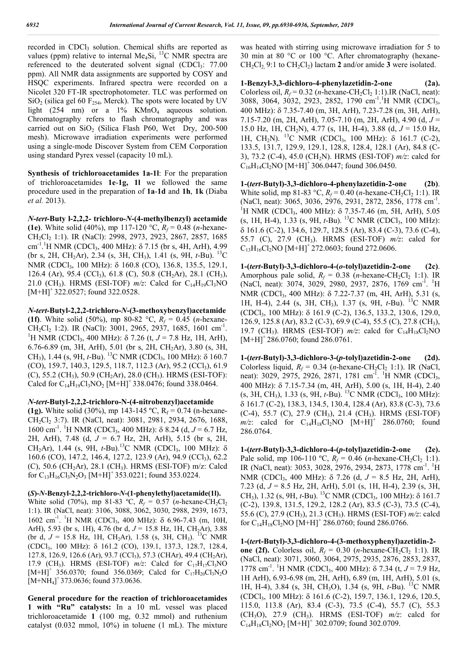recorded in CDCl<sub>3</sub> solution. Chemical shifts are reported as values (ppm) relative to internal Me<sub>4</sub>Si, <sup>13</sup>C NMR spectra are referenced to the deuterated solvent signal  $(CDC1<sub>3</sub>: 77.00$ ppm). All NMR data assignments are supported by COSY and HSQC experiments. Infrared spectra were recorded on a Nicolet 320 FT-IR spectrophotometer. TLC was performed on  $SiO<sub>2</sub>$  (silica gel 60 F<sub>254</sub>, Merck). The spots were located by UV light (254 nm) or a  $1\%$  KMnO<sub>4</sub> aqueous solution. Chromatography refers to flash chromatography and was carried out on  $SiO<sub>2</sub>$  (Silica Flash P60, Wet Dry, 200-500 mesh). Microwave irradiation experiments were performed using a single-mode Discover System from CEM Corporation using standard Pyrex vessel (capacity 10 mL).

**Synthesis of trichloroacetamides 1a-1l**: For the preparation of trichloroacetamides **1e**-**1g, 1l** we followed the same procedure used in the preparation of **1a**-**1d** and **1h**, **1k** (Diaba *et al.* 2013).

*N***-***tert***-Buty l-2,2,2- trichloro-***N***-(4-methylbenzyl) acetamide (1e)**. White solid (40%), mp 117-120 °C,  $R_f = 0.48$  (*n*-hexane-CH2Cl2 1:1). IR (NaCl): 2998, 2973, 2923, 2867, 2857, 1685 cm<sup>-1</sup>.<sup>1</sup>H NMR (CDCl<sub>3</sub>, 400 MHz):  $\delta$  7.15 (br s, 4H, ArH), 4.99 (br s, 2H, CH2Ar), 2.34 (s, 3H, CH3), 1.41 (s, 9H, *t*-Bu). 13C NMR (CDCl<sub>3</sub>, 100 MHz): δ 160.8 (CO), 136.8, 135.5, 129.1, 126.4 (Ar), 95.4 (CCl<sub>3</sub>), 61.8 (C), 50.8 (CH<sub>2</sub>Ar), 28.1 (CH<sub>3</sub>), 21.0 (CH<sub>3</sub>). HRMS (ESI-TOF)  $m/z$ : Calcd for C<sub>14</sub>H<sub>19</sub>Cl<sub>3</sub>NO  $[M+H]$ <sup>+</sup> 322.0527; found 322.0528.

*N***-***tert***-Butyl-2,2,2-trichloro-***N***-(3-methoxybenzyl)acetamide (1f)**. White solid (50%), mp 80-82 °C,  $R_f = 0.45$  (*n*-hexane- $CH_2Cl_2$  1:2). IR (NaCl): 3001, 2965, 2937, 1685, 1601 cm<sup>-1</sup>.<br><sup>1</sup>H NMB (CDCl 400 MHz):  $\frac{5}{3}$  7.26 (t  $I = 7.8$  Hz, 1H Arth) <sup>1</sup>H NMR (CDCl<sub>3</sub>, 400 MHz):  $\delta$  7.26 (t, J = 7.8 Hz, 1H, ArH), 6.76-6.89 (m, 3H, ArH), 5.01 (br s, 2H, CH2Ar), 3.80 (s, 3H, CH<sub>3</sub>), 1.44 (s, 9H, *t*-Bu). <sup>13</sup>C NMR (CDCl<sub>3</sub>, 100 MHz): δ 160.7  $(CO)$ , 159.7, 140.3, 129.5, 118.7, 112.3 (Ar), 95.2  $(CCl<sub>3</sub>)$ , 61.9  $(C)$ , 55.2  $(CH<sub>3</sub>)$ , 50.9  $(CH<sub>2</sub>AT)$ , 28.0  $(CH<sub>3</sub>)$ . HRMS (ESI-TOF): Calcd for  $C_{14}H_{19}Cl_3NO_2$  [M+H]<sup>+</sup> 338.0476; found 338.0464.

## *N***-***tert***-Butyl-2,2,2-trichloro-N-(4-nitrobenzyl)acetamide**

**(1g).** White solid (30%), mp 143-145 °C,  $R_f = 0.74$  (n-hexane-CH2Cl2 3:7). IR (NaCl, neat): 3081, 2981, 2934, 2676, 1688, 1600 cm<sup>-1</sup>. <sup>1</sup>H NMR (CDCl<sub>3</sub>, 400 MHz): δ 8.24 (d, *J* = 6.7 Hz, 2H, ArH), 7.48 (d, *J* = 6.7 Hz, 2H, ArH), 5.15 (br s, 2H, CH<sub>2</sub>Ar), 1.44 (s, 9H, *t*-Bu).<sup>13</sup>C NMR (CDCl<sub>3</sub>, 100 MHz):  $\delta$ 160.6 (CO), 147.2, 146.4, 127.2, 123.9 (Ar), 94.9 (CCl<sub>3</sub>), 62.2 (C), 50.6 (CH<sub>2</sub>Ar), 28.1 (CH<sub>3</sub>). HRMS (ESI-TOF) m/z: Calcd for  $C_{13}H_{16}Cl_3N_2O_3$  [M+H]<sup>+</sup> 353.0221; found 353.0224.

#### **(***S***)-***N***-Benzyl-2,2,2-trichloro-***N***-(1-phenylethyl)acetamide(1l).**

White solid (70%), mp 81-83 °C,  $R_f = 0.57$  (*n*-hexane-CH<sub>2</sub>Cl<sub>2</sub> 1:1). IR (NaCl, neat): 3106, 3088, 3062, 3030, 2988, 2939, 1673, 1602 cm<sup>-1</sup>. <sup>1</sup>H NMR (CDCl<sub>3</sub>, 400 MHz): δ 6.96-7.43 (m, 10H, ArH), 5.93 (br s, 1H), 4.76 (br d,  $J = 15.8$  Hz, 1H, CH<sub>2</sub>Ar), 3.88 (br d,  $J = 15.8$  Hz, 1H, CH<sub>2</sub>Ar), 1.58 (s, 3H, CH<sub>3</sub>). <sup>13</sup>C NMR (CDCl<sub>3</sub>, 100 MHz): δ 161.2 (CO), 139.1, 137.3, 128.7, 128.4, 127.8, 126.9, 126.6 (Ar), 93.7 (CCl<sub>3</sub>), 57.3 (CHAr), 49.4 (CH<sub>2</sub>Ar), 17.9 (CH<sub>3</sub>). HRMS (ESI-TOF)  $m/z$ : Calcd for C<sub>17</sub>H<sub>17</sub>Cl<sub>3</sub>NO  $[M+H]^+$  356.0370; found 356.0369; Calcd for C<sub>17</sub>H<sub>20</sub>Cl<sub>3</sub>N<sub>2</sub>O  $[M+NH_4]^+$  373.0636; found 373.0636.

**General procedure for the reaction of trichloroacetamides 1 with "Ru" catalysts:** In a 10 mL vessel was placed trichloroacetamide **1** (100 mg, 0.32 mmol) and ruthenium catalyst (0.032 mmol, 10%) in toluene (1 mL). The mixture was heated with stirring using microwave irradiation for 5 to 30 min at 80 °C or 100 °C. After chromatography (hexane-CH<sub>2</sub>Cl<sub>2</sub> 9:1 to CH<sub>2</sub>Cl<sub>2</sub>) lactam **2** and/or amide **3** were isolated.

**1-Benzyl-3,3-dichloro-4-phenylazetidin-2-one (2a).**  Colorless oil,  $R_f$  = 0.32 (*n*-hexane-CH<sub>2</sub>Cl<sub>2</sub> 1:1).IR (NaCl, neat): 3088, 3064, 3032, 2923, 2852, 1790 cm<sup>-1 1</sup>H NMR (CDCl<sub>3</sub>, 400 MHz): 7.35-7.40 (m, 3H, ArH), 7.23-7.28 (m, 3H, ArH), 7.15-7.20 (m, 2H, ArH), 7.05-7.10 (m, 2H, ArH), 4.90 (d, *J* = 15.0 Hz, 1H, CH2N), 4.77 (s, 1H, H-4), 3.88 (d, *J* = 15.0 Hz, 1H, CH<sub>2</sub>N). <sup>13</sup>C NMR (CDCl<sub>3</sub>, 100 MHz):  $\delta$  161.7 (C-2), 133.5, 131.7, 129.9, 129.1, 128.8, 128.4, 128.1 (Ar), 84.8 (C-3), 73.2 (C-4), 45.0 (CH2N). HRMS (ESI-TOF) *m/z*: calcd for  $C_{16}H_{14}Cl_2NO$  [M+H]<sup>+</sup> 306.0447; found 306.0450.

**1-(***tert***-Butyl)-3,3-dichloro-4-phenylazetidin-2-one (2b)**. White solid, mp 81-83 °C,  $R_f = 0.40$  (*n*-hexane-CH<sub>2</sub>Cl<sub>2</sub> 1:1). IR (NaCl, neat):  $3065$ ,  $3036$ ,  $2976$ ,  $2931$ ,  $2872$ ,  $2856$ ,  $1778$  cm<sup>-1</sup>.<br><sup>1</sup>H NMP (CDCL, 400 MHz):  $8735746$  (m, 5H, ArH), 5.05 <sup>1</sup>H NMR (CDCl<sub>3</sub>, 400 MHz):  $\delta$  7.35-7.46 (m, 5H, ArH), 5.05  $(s, 1H, H-4), 1.33$   $(s, 9H, t-Bu).$  <sup>13</sup>C NMR (CDCl<sub>3</sub>, 100 MHz): 161.6 (C-2), 134.6, 129.7, 128.5 (Ar), 83.4 (C-3), 73.6 (C-4), 55.7 (C), 27.9 (CH3). HRMS (ESI-TOF) *m/z*: calcd for  $C_{13}H_{16}Cl_2NO$  [M+H]<sup>+</sup> 272.0603; found 272.0606.

**1-(***tert***-Butyl)-3,3-dichloro-4-(***o***-tolyl)azetidin-2-one (2c)**. Amorphous pale solid,  $R_f = 0.38$  (*n*-hexane-CH<sub>2</sub>Cl<sub>2</sub> 1:1). IR (NaCl, neat): 3074, 3029, 2980, 2937, 2876, 1769 cm<sup>-1</sup>. <sup>1</sup>H NMR (CDCl<sub>3</sub>, 400 MHz): δ 7.22-7.37 (m, 4H, ArH), 5.31 (s, 1H, H-4), 2.44 (s, 3H, CH3), 1.37 (s, 9H, *t*-Bu). 13C NMR (CDCl<sub>3</sub>, 100 MHz): δ 161.9 (C-2), 136.5, 133.2, 130.6, 129.0, 126.9, 125.8 (Ar), 83.2 (C-3), 69.9 (C-4), 55.5 (C), 27.8 (CH3), 19.7 (CH<sub>3</sub>). HRMS (ESI-TOF)  $m/z$ : calcd for C<sub>14</sub>H<sub>18</sub>Cl<sub>2</sub>NO  $[M+H]^+$  286.0760; found 286.0761.

**1-(***tert***-Butyl)-3,3-dichloro-3-(***p***-tolyl)azetidin-2-one (2d).**  Colorless liquid,  $R_f = 0.34$  (*n*-hexane-CH<sub>2</sub>Cl<sub>2</sub> 1:1). IR (NaCl, neat): 3029, 2975, 2926, 2871, 1781 cm<sup>-1</sup>. <sup>1</sup>H NMR (CDCl<sub>3</sub>, 400 MHz): δ 7.15-7.34 (m, 4H, ArH), 5.00 (s, 1H, H-4), 2.40  $(s, 3H, CH<sub>3</sub>), 1.33 (s, 9H, t-Bu).$ <sup>13</sup>C NMR (CDCl<sub>3</sub>, 100 MHz): 161.7 (C-2), 138.3, 134.5, 130.4, 128.4 (Ar), 83.8 (C-3), 73.6 (C-4), 55.7 (C), 27.9 (CH3), 21.4 (CH3). HRMS (ESI-TOF)  $m/z$ : calcd for  $C_{14}H_{18}Cl_2NO$   $[M+H]^+$  286.0760; found 286.0764.

**1-(***tert***-Butyl)-3,3-dichloro-4-(***p***-tolyl)azetidin-2-one (2e).**  Pale solid, mp 106-110 °C,  $R_f = 0.46$  (*n*-hexane-CH<sub>2</sub>Cl<sub>2</sub> 1:1). IR (NaCl, neat): 3053, 3028, 2976, 2934, 2873, 1778 cm<sup>-1</sup>. <sup>1</sup>H NMR (CDCl<sub>3</sub>, 400 MHz): δ 7.26 (d, *J* = 8.5 Hz, 2H, ArH), 7.23 (d, *J* = 8.5 Hz, 2H, ArH), 5.01 (s, 1H, H-4), 2.39 (s, 3H, CH<sub>3</sub>), 1.32 (s, 9H, *t*-Bu). <sup>13</sup>C NMR (CDCl<sub>3</sub>, 100 MHz):  $\delta$  161.7 (C-2), 139.8, 131.5, 129.2, 128.2 (Ar), 83.5 (C-3), 73.5 (C-4), 55.6 (C), 27.9 (CH3), 21.3 (CH3). HRMS (ESI-TOF) *m/z*: calcd for  $C_{14}H_{18}Cl_2NO$  [M+H]<sup>+</sup> 286.0760; found 286.0766.

**1-(***ter***t-Butyl)-3,3-dichloro-4-(3-methoxyphenyl)azetidin-2 one (2f).** Colorless oil,  $R_f = 0.30$  (*n*-hexane-CH<sub>2</sub>Cl<sub>2</sub> 1:1). IR (NaCl, neat): 3071, 3060, 3064, 2975, 2935, 2876, 2853, 2837, 1778 cm<sup>-1</sup>. <sup>1</sup>H NMR (CDCl<sub>3</sub>, 400 MHz):  $\delta$  7.34 (t, *J* = 7.9 Hz, 1H ArH), 6.93-6.98 (m, 2H, ArH), 6.89 (m, 1H, ArH), 5.01 (s, 1H, H-4), 3.84 (s, 3H, CH<sub>3</sub>O), 1.34 (s, 9H, *t*-Bu). <sup>13</sup>C NMR (CDCl3, 100 MHz): 161.6 (C-2), 159.7, 136.1, 129.6, 120.5, 115.0, 113.8 (Ar), 83.4 (C-3), 73.5 (C-4), 55.7 (C), 55.3  $(CH<sub>3</sub>O)$ , 27.9  $(CH<sub>3</sub>)$ . HRMS (ESI-TOF)  $m/z$ : calcd for  $C_{14}H_{18}Cl_2NO_2$  [M+H]<sup>+</sup> 302.0709; found 302.0709.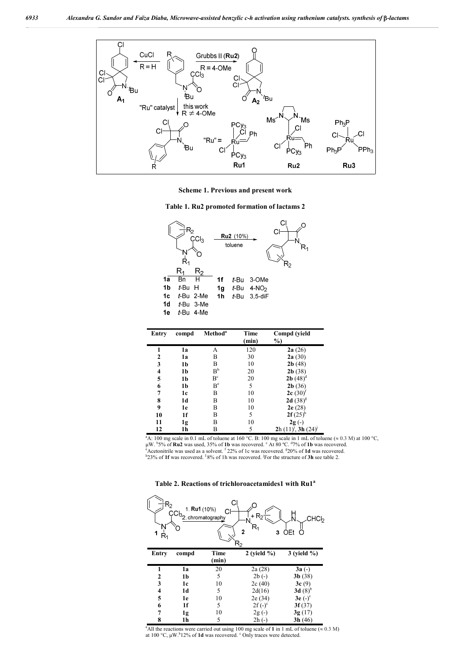

**Scheme 1. Previous and present work**

**Table 1. Ru2 promoted formation of lactams 2**



| Entry        | compd          | Method <sup>a</sup> | Time<br>(min) | Compd (yield<br>$\%$     |
|--------------|----------------|---------------------|---------------|--------------------------|
|              |                |                     |               |                          |
|              | 1a             | A                   | 120           | 2a(26)                   |
| $\mathbf{2}$ | 1a             | B                   | 30            | 2a(30)                   |
| 3            | 1b             | B                   | 10            | 2b(48)                   |
| 4            | 1 <sub>b</sub> | B <sup>b</sup>      | 20            | 2b(38)                   |
| 5            | 1b             | B <sup>c</sup>      | 20            | <b>2b</b> $(48)^d$       |
| 6            | 1 <sub>b</sub> | B <sup>e</sup>      | 5             | 2b(36)                   |
| 7            | 1c             | B                   | 10            | $2c(30)^t$               |
| 8            | 1d             | B                   | 10            | 2d $(38)^{g}$            |
| 9            | 1e             | B                   | 10            | 2e(28)                   |
| 10           | 1f             | B                   | 5             | $2f(25)^n$               |
| 11           | 1g             | B                   | 10            | $2g(-)$                  |
| 12           | 1h             | B                   | 5             | $2h(11)^1$ , 3h $(24)^1$ |

<sup>a</sup>A: 100 mg scale in 0.1 mL of toluene at 160 °C. B: 100 mg scale in 1 mL of toluene (≈ 0.3 M) at 100 °C, <br>μW. <sup>b</sup>S% of **Ru2** was used, 35% of 1b was recovered. <sup>c</sup> At 80 °C. <sup>47</sup>% of 1**b** was recovered. <sup>e</sup> Acetonitrile was used as a solvent. <sup>f</sup> 22% of 1c was recovered. <sup>g</sup>20% of **1d** was recovered. <sup>h</sup>23% of **1f** was recovered. <sup>1</sup>8% of 1h was recovered. <sup>j</sup>For the structure of **3h** see table 2.

**Table 2. Reactions of trichloroacetamides1 with Ru1<sup>a</sup>**



<sup>a</sup>All the reactions were carried out using 100 mg scale of 1 in 1 mL of toluene ( $\approx 0.3$  M) at 100 °C, μW.<sup>b</sup>12% of **1d** was recovered. <sup>c</sup> Only traces were detected.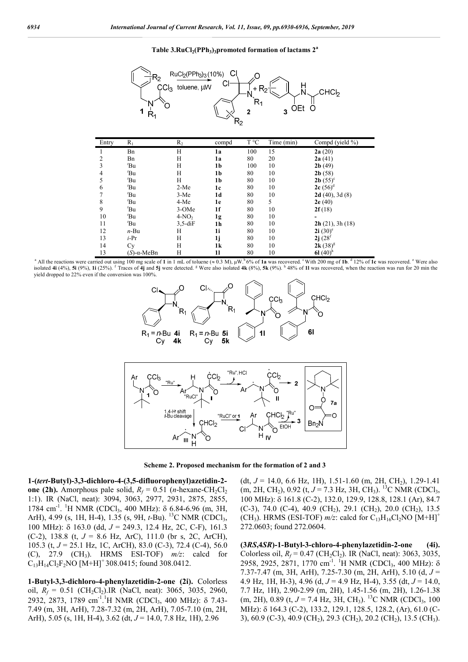#### Table 3.RuCl<sub>2</sub>(PPh<sub>3</sub>)<sub>3</sub>promoted formation of lactams  $2^a$



| Entry | $R_{1}$                | R <sub>2</sub> | compd | T °C | Time (min) | Compd (yield %)          |
|-------|------------------------|----------------|-------|------|------------|--------------------------|
|       | Bn                     | H              | 1a    | 100  | 15         | 2a(20)                   |
| 2     | Bn                     | H              | 1a    | 80   | 20         | 2a(41)                   |
| 3     | 'Bu                    | H              | 1b    | 100  | 10         | 2b(49)                   |
| 4     | 'Bu                    | H              | 1b    | 80   | 10         | 2b(58)                   |
| 5     | 'Bu                    | H              | 1b    | 80   | 10         | <b>2b</b> $(55)^{\circ}$ |
| 6     | 'Bu                    | $2-Me$         | 1c    | 80   | 10         | $2c(56)^d$               |
| 7     | 'Bu                    | $3-Me$         | 1d    | 80   | 10         | 2d(40), 3d(8)            |
| 8     | $E$ Bu                 | 4-Me           | 1e    | 80   | 5          | 2e(40)                   |
| 9     | 'Bu                    | 3-OMe          | 1f    | 80   | 10         | 2f(18)                   |
| 10    | 'Bu                    | $4-NO2$        | 1g    | 80   | 10         |                          |
| 11    | 'Bu                    | $3,5$ -di $F$  | 1h    | 80   | 10         | 2h(21), 3h(18)           |
| 12    | $n-Bu$                 | Н              | 1i    | 80   | 10         | $2i(30)$ <sup>e</sup>    |
| 13    | $i$ -Pr                | H              | 1j    | 80   | 10         | $2j(28^f)$               |
| 14    | Cy                     | H              | 1k    | 80   | 10         | $2k(38)^{g}$             |
| 13    | $(S)$ - $\alpha$ -MeBn | H              | 11    | 80   | 10         | 61 $(40)^h$              |

<sup>a</sup> All the reactions were carried out using 100 mg scale of **1** in 1 mL of toluene ( $\approx$  0.3 M), μW.<sup>b</sup> 6% of **1a** was recovered. <sup>c</sup> With 200 mg of **1b**. d 12% of **1c** was recovered. <sup>c</sup> Were also isolated 4i (4%), 5i (9%), 1i (25%). <sup>f</sup> Traces of 4j and 5j were detected. <sup>g</sup> Were also isolated 4k (8%), 5k (9%). <sup>h</sup> 48% of 1l was recovered, when the reaction was run for 20 min the yield dropped to 22% even if the conversion was 100%.





**Scheme 2. Proposed mechanism for the formation of 2 and 3**

**1-(***tert***-Butyl)-3,3-dichloro-4-(3,5-difluorophenyl)azetidin-2 one (2h).** Amorphous pale solid,  $R_f = 0.51$  (*n*-hexane-CH<sub>2</sub>Cl<sub>2</sub> 1:1). IR (NaCl, neat): 3094, 3063, 2977, 2931, 2875, 2855, 1784 cm<sup>-1</sup>. <sup>1</sup>H NMR (CDCl<sub>3</sub>, 400 MHz): δ 6.84-6.96 (m, 3H, ArH), 4.99 (s, 1H, H-4), 1.35 (s, 9H, *t*-Bu). <sup>13</sup>C NMR (CDCl<sub>3</sub>, 100 MHz): 163.0 (dd, *J* = 249.3, 12.4 Hz, 2C, C-F), 161.3 (C-2), 138.8 (t, *J* = 8.6 Hz, ArC), 111.0 (br s, 2C, ArCH), 105.3 (t, *J* = 25.1 Hz, 1C, ArCH), 83.0 (C-3), 72.4 (C-4), 56.0 (C),  $27.9$  (CH<sub>3</sub>). HRMS ESI-TOF)  $m/z$ : calcd for  $C_{13}H_{14}Cl_2F_2NO$  [M+H]<sup>+</sup> 308.0415; found 308.0412.

**1-Butyl-3,3-dichloro-4-phenylazetidin-2-one (2i).** Colorless oil,  $R_f = 0.51$  (CH<sub>2</sub>Cl<sub>2</sub>).IR (NaCl, neat): 3065, 3035, 2960, 2932, 2873, 1789 cm<sup>-1</sup>.<sup>1</sup>H NMR (CDCl<sub>3</sub>, 400 MHz): δ 7.43-7.49 (m, 3H, ArH), 7.28-7.32 (m, 2H, ArH), 7.05-7.10 (m, 2H, ArH), 5.05 (s, 1H, H-4), 3.62 (dt, *J* = 14.0, 7.8 Hz, 1H), 2.96

(dt,  $J = 14.0$ , 6.6 Hz, 1H), 1.51-1.60 (m, 2H, CH<sub>2</sub>), 1.29-1.41  $(m, 2H, CH_2), 0.92$  (t,  $J = 7.3$  Hz, 3H, CH<sub>3</sub>). <sup>13</sup>C NMR (CDCl<sub>3</sub>, 100 MHz): 161.8 (C-2), 132.0, 129.9, 128.8, 128.1 (Ar), 84.7 (C-3), 74.0 (C-4), 40.9 (CH<sub>2</sub>), 29.1 (CH<sub>2</sub>), 20.0 (CH<sub>2</sub>), 13.5 (CH<sub>3</sub>). HRMS (ESI-TOF)  $m/z$ : calcd for C<sub>13</sub>H<sub>16</sub>Cl<sub>2</sub>NO [M+H]<sup>+</sup> 272.0603; found 272.0604.

**(3***RS***,4***SR***)-1-Butyl-3-chloro-4-phenylazetidin-2-one (4i).**  Colorless oil,  $R_f = 0.47$  (CH<sub>2</sub>Cl<sub>2</sub>). IR (NaCl, neat): 3063, 3035, 2958, 2925, 2871, 1770 cm<sup>-1</sup>. <sup>1</sup>H NMR (CDCl<sub>3</sub>, 400 MHz):  $\delta$ 7.37-7.47 (m, 3H, ArH), 7.25-7.30 (m, 2H, ArH), 5.10 (d,  $J =$ 4.9 Hz, 1H, H-3), 4.96 (d, *J* = 4.9 Hz, H-4), 3.55 (dt, *J* = 14.0, 7.7 Hz, 1H), 2.90-2.99 (m, 2H), 1.45-1.56 (m, 2H), 1.26-1.38 (m, 2H), 0.89 (t, *J* = 7.4 Hz, 3H, CH<sub>3</sub>). <sup>13</sup>C NMR (CDCl<sub>3</sub>, 100 MHz): δ 164.3 (C-2), 133.2, 129.1, 128.5, 128.2, (Ar), 61.0 (C-3), 60.9 (C-3), 40.9 (CH2), 29.3 (CH2), 20.2 (CH2), 13.5 (CH3).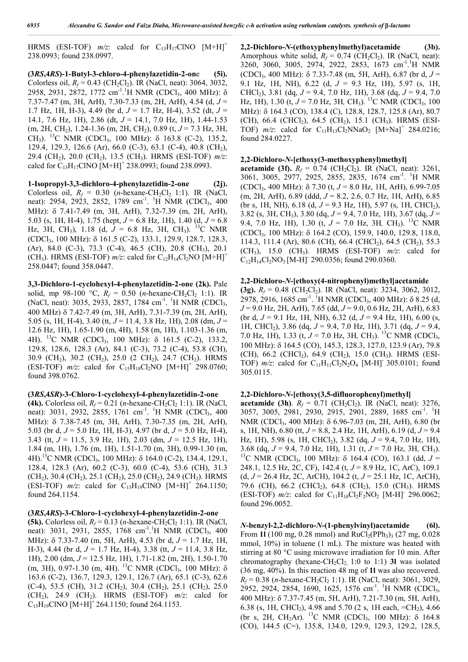HRMS (ESI-TOF)  $m/z$ : calcd for C<sub>13</sub>H<sub>17</sub>ClNO [M+H]<sup>+</sup> 238.0993; found 238.0997.

**(3***RS***,4***RS***)-1-Butyl-3-chloro-4-phenylazetidin-2-on**e **(5i).**  Colorless oil,  $R_f = 0.43$  (CH<sub>2</sub>Cl<sub>2</sub>). IR (NaCl, neat): 3064, 3032, 2958, 2931, 2872, 1772 cm<sup>-1</sup>.<sup>1</sup>H NMR (CDCl<sub>3</sub>, 400 MHz): δ 7.37-7.47 (m, 3H, ArH), 7.30-7.33 (m, 2H, ArH), 4.54 (d, *J* = 1.7 Hz, 1H, H-3), 4.49 (br d, *J* = 1.7 Hz, H-4), 3.52 (dt, *J* = 14.1, 7.6 Hz, 1H), 2.86 (dt, *J* = 14.1, 7.0 Hz, 1H), 1.44-1.53 (m, 2H, CH2), 1.24-1.36 (m, 2H, CH2), 0.89 (t, *J* = 7.3 Hz, 3H, CH<sub>3</sub>). <sup>13</sup>C NMR (CDCl<sub>3</sub>, 100 MHz):  $\delta$  163.8 (C-2), 135.2, 129.4, 129.3, 126.6 (Ar), 66.0 (C-3), 63.1 (C-4), 40.8 (CH2), 29.4 (CH2), 20.0 (CH2), 13.5 (CH3). HRMS (ESI-TOF) *m/z*: calcd for C<sub>13</sub>H<sub>17</sub>ClNO [M+H]<sup>+</sup> 238.0993; found 238.0993.

**1-Isopropyl-3,3-dichloro-4-phenylazetidin-2-one (2j).**  Colorless oil,  $R_f = 0.30$  (*n*-hexane-CH<sub>2</sub>Cl<sub>2</sub> 1:1). IR (NaCl, neat): 2954, 2923, 2852, 1789 cm<sup>-1</sup>. <sup>1</sup>H NMR (CDCl<sub>3</sub>, 400 MHz): δ 7.41-7.49 (m, 3H, ArH), 7.32-7.39 (m, 2H, ArH), 5.03 (s, 1H, H-4), 1.75 (hept,  $J = 6.8$  Hz, 1H), 1.40 (d,  $J = 6.8$ ) Hz, 3H, CH<sub>3</sub>), 1.18 (d,  $J = 6.8$  Hz, 3H, CH<sub>3</sub>). <sup>13</sup>C NMR (CDCl<sub>3</sub>, 100 MHz): δ 161.5 (C-2), 133.1, 129.9, 128.7, 128.3,  $(Ar)$ , 84.0  $(C-3)$ , 73.3  $(C-4)$ , 46.5  $(CH)$ , 20.8  $(CH_3)$ , 20.1 (CH<sub>3</sub>). HRMS (ESI-TOF)  $m/z$ : calcd for C<sub>12</sub>H<sub>14</sub>Cl<sub>2</sub>NO [M+H]<sup>+</sup> 258.0447; found 358.0447.

**3,3-Dichloro-1-cyclohexyl-4-phenylazetidin-2-one (2k).** Pale solid, mp 98-100 °C,  $R_f = 0.50$  (*n*-hexane-CH<sub>2</sub>Cl<sub>2</sub> 1:1). IR (NaCl, neat): 3035, 2933, 2857, 1784 cm<sup>-1</sup>. <sup>1</sup>H NMR (CDCl<sub>3</sub>, 400 MHz) 7.42-7.49 (m, 3H, ArH), 7.31-7.39 (m, 2H, ArH), 5.05 (s, 1H, H-4), 3.40 (tt, *J* = 11.4, 3.8 Hz, 1H), 2.08 (dm, *J* = 12.6 Hz, 1H), 1.65-1.90 (m, 4H), 1.58 (m, 1H), 1.103-1.36 (m, 4H). <sup>13</sup>C NMR (CDCl<sub>3</sub>, 100 MHz):  $\delta$  161.5 (C-2), 133.2, 129.8, 128.6, 128.3 (Ar), 84.1 (C-3), 73.2 (C-4), 53.8 (CH), 30.9 (CH2), 30.2 (CH2), 25.0 (2 CH2), 24.7 (CH2). HRMS (ESI-TOF)  $m/z$ : calcd for C<sub>15</sub>H<sub>18</sub>Cl<sub>2</sub>NO [M+H]<sup>+</sup> 298.0760; found 398.0762.

#### **(3***RS***,4***SR***)-3-Chloro-1-cyclohexyl-4-phenylazetidin-2-one**

**(4k).** Colorless oil,  $R_f = 0.21$  (*n*-hexane-CH<sub>2</sub>Cl<sub>2</sub> 1:1). IR (NaCl, neat): 3031, 2932, 2855, 1761 cm<sup>-1</sup>. <sup>1</sup>H NMR (CDCl<sub>3</sub>, 400 MHz): δ 7.38-7.45 (m, 3H, ArH), 7.30-7.35 (m, 2H, ArH), 5.03 (br d, *J* = 5.0 Hz, 1H, H-3), 4.97 (br d, *J* = 5.0 Hz, H-4), 3.43 (tt, *J* = 11.5, 3.9 Hz, 1H), 2.03 (dm, *J* = 12.5 Hz, 1H), 1.84 (m, 1H), 1.76 (m, 1H), 1.51-1.70 (m, 3H), 0.99-1.30 (m, 4H).<sup>13</sup>C NMR (CDCl<sub>3</sub>, 100 MHz):  $\delta$  164.0 (C-2), 134.4, 129.1, 128.4, 128.3 (Ar), 60.2 (C-3), 60.0 (C-4), 53.6 (CH), 31.3  $(CH<sub>2</sub>), 30.4 (CH<sub>2</sub>), 25.1 (CH<sub>2</sub>), 25.0 (CH<sub>2</sub>), 24.9 (CH<sub>2</sub>). HRMS$ (ESI-TOF)  $m/z$ : calcd for C<sub>15</sub>H<sub>19</sub>ClNO [M+H]<sup>+</sup> 264.1150; found 264.1154.

#### **(3***RS***,4***RS***)-3-Chloro-1-cyclohexyl-4-phenylazetidin-2-one**

**(5k).** Colorless oil,  $R_f = 0.13$  (*n*-hexane-CH<sub>2</sub>Cl<sub>2</sub> 1:1). IR (NaCl, neat): 3031, 2931, 2855, 1768 cm<sup>-1</sup>.<sup>1</sup>H NMR (CDCl<sub>3</sub>, 400 MHz): 7.33-7.40 (m, 5H, ArH), 4.53 (br d, *J* = 1.7 Hz, 1H, H-3), 4.44 (br d, *J* = 1.7 Hz, H-4), 3.38 (tt, *J* = 11.4, 3.8 Hz, 1H), 2.00 (dm, *J* = 12.5 Hz, 1H), 1.71-1.82 (m, 2H), 1.50-1.70 (m, 3H), 0.97-1.30 (m, 4H). <sup>13</sup>C NMR (CDCl<sub>3</sub>, 100 MHz):  $\delta$ 163.6 (C-2), 136.7, 129.3, 129.1, 126.7 (Ar), 65.1 (C-3), 62.6  $(C-4)$ , 53.5 (CH), 31.2 (CH<sub>2</sub>), 30.4 (CH<sub>2</sub>), 25.1 (CH<sub>2</sub>), 25.0  $(CH_2)$ , 24.9  $(CH_2)$ . HRMS (ESI-TOF)  $m/z$ : calcd for  $C_{15}H_{19}CINO [M+H]$ <sup>+</sup> 264.1150; found 264.1153.

**2,2-Dichloro-***N***-(ethoxyphenylmethyl)acetamide (3b).**  Amorphous white solid,  $R_f = 0.74$  (CH<sub>2</sub>Cl<sub>2</sub>). IR (NaCl, neat): 3260, 3060, 3005, 2974, 2922, 2853, 1673 cm<sup>-1</sup>.<sup>1</sup>H NMR  $(CDCl_3, 400 MHz)$ :  $\delta$  7.33-7.48 (m, 5H, ArH), 6.87 (br d,  $J =$ 9.1 Hz, 1H, NH), 6.22 (d, *J* = 9.3 Hz, 1H), 5.97 (s, 1H, CHCl2), 3.81 (dq, *J* = 9.4, 7.0 Hz, 1H), 3.68 (dq, *J* = 9.4, 7.0 Hz, 1H), 1.30 (t, *J* = 7.0 Hz, 3H, CH<sub>3</sub>). <sup>13</sup>C NMR (CDCl<sub>3</sub>, 100 MHz): δ 164.3 (CO), 138.4 (C), 128.8, 128.7, 125.8 (Ar), 80.7 (CH), 66.4 (CHCl<sub>2</sub>), 64.5 (CH<sub>2</sub>), 15.1 (CH<sub>3</sub>). HRMS (ESI-TOF)  $m/z$ : calcd for  $C_{11}H_{13}Cl_2NNaO_2$  [M+Na]<sup>+</sup> 284.0216; found 284.0227.

#### **2,2-Dichloro-***N***-[ethoxy(3-methoxyphenyl)methyl]**

**acetamide (3f).**  $R_f = 0.74$  (CH<sub>2</sub>Cl<sub>2</sub>). IR (NaCl, neat): 3261, 3061, 3005, 2977, 2925, 2855, 2835, 1674 cm<sup>-1</sup>. <sup>1</sup>H NMR (CDCl<sub>3</sub>, 400 MHz):  $\delta$  7.30 (t,  $J = 8.0$  Hz, 1H, ArH), 6.99-7.05 (m, 2H, ArH), 6.89 (ddd, *J* = 8.2, 2.6, 0.7 Hz, 1H, ArH), 6.85 (br s, 1H, NH), 6.18 (d,  $J = 9.3$  Hz, 1H), 5.97 (s, 1H, CHCl<sub>2</sub>), 3.82 (s, 3H, CH3), 3.80 (dq, *J* = 9.4, 7.0 Hz, 1H), 3.67 (dq, *J* = 9.4, 7.0 Hz, 1H), 1.30 (t, *J* = 7.0 Hz, 3H*,* CH3). 13C NMR (CDCl<sub>3</sub>, 100 MHz): δ 164.2 (CO), 159.9, 140.0, 129.8, 118.0, 114.3, 111.4 (Ar), 80.6 (CH), 66.4 (CHCl<sub>2</sub>), 64.5 (CH<sub>2</sub>), 55.3  $(CH_3)$ , 15.0  $(CH_3)$ . HRMS (ESI-TOF)  $m/z$ : calcd for  $C_{12}H_{14}Cl_2NO_3$  [M-H]<sup>-</sup> 290.0356; found 290.0360.

#### **2,2-Dichloro-***N***-[ethoxy(4-nitrophenyl)methyl]acetamide**

**(3g).**  $R_f = 0.48$  (CH<sub>2</sub>Cl<sub>2</sub>). IR (NaCl, neat): 3234, 3062, 3012, 2978, 2916, 1685 cm<sup>-1</sup>. <sup>1</sup>H NMR (CDCl<sub>3</sub>, 400 MHz): δ 8.25 (d, *J* = 9.0 Hz, 2H, ArH), 7.65 (dd, *J* = 9.0, 0.6 Hz, 2H, ArH), 6.83 (br d, *J* = 9.1 Hz, 1H, NH), 6.32 (d, *J* = 9.4 Hz, 1H), 6.00 (s, 1H, CHCl2), 3.86 (dq, *J* = 9.4, 7.0 Hz, 1H), 3.71 (dq, *J* = 9.4, 7.0 Hz, 1H), 1.33 (t, *J* = 7.0 Hz, 3H*,* CH3). 13C NMR (CDCl3, 100 MHz): 164.5 (CO), 145.3, 128.3, 127.0, 123.9 (Ar), 79.8 (CH), 66.2 (CHCl<sub>2</sub>), 64.9 (CH<sub>2</sub>), 15.0 (CH<sub>3</sub>). HRMS (ESI-TOF)  $m/z$ : calcd for  $C_{11}H_{11}Cl_2N_2O_4$  [M-H]<sup>-</sup> 305.0101; found 305.0115.

#### **2,2-Dichloro-***N***-[ethoxy(3,5-difluorophenyl)methyl]**

**acetamide (3h)**.  $R_f = 0.71$  (CH<sub>2</sub>Cl<sub>2</sub>). IR (NaCl, neat): 3276, 3057, 3005, 2981, 2930, 2915, 2901, 2889, 1685 cm<sup>-1</sup>. <sup>1</sup>H NMR (CDCl<sub>3</sub>, 400 MHz): δ 6.96-7.03 (m, 2H, ArH), 6.80 (br s, 1H, NH), 6.80 (tt, *J* = 8.8, 2.4 Hz, 1H, ArH), 6.19 (d, *J* = 9.4 Hz, 1H), 5.98 (s, 1H, CHCl<sub>2</sub>), 3.82 (dq,  $J = 9.4$ , 7.0 Hz, 1H), 3.68 (dq, *J* = 9.4, 7.0 Hz, 1H), 1.31 (t, *J* = 7.0 Hz, 3H*,* CH3). <sup>13</sup>C NMR (CDCl<sub>3</sub>, 100 MHz):  $\delta$  164.4 (CO), 163.1 (dd,  $J =$ 248.1, 12.5 Hz, 2C, CF), 142.4 (t, *J* = 8.9 Hz, 1C, ArC), 109.1 (d, *J* = 26.4 Hz, 2C, ArCH), 104.2 (t, *J* = 25.1 Hz, 1C, ArCH), 79.6 (CH), 66.2 (CHCl<sub>2</sub>), 64.8 (CH<sub>2</sub>), 15.0 (CH<sub>3</sub>). HRMS (ESI-TOF)  $m/z$ : calcd for  $C_{11}H_{10}Cl_2F_2NO_2$  [M-H]<sup>-</sup> 296.0062; found 296.0052.

*N***-benzyl-2,2-dichloro-***N***-(1-phenylvinyl)acetamide (6l).**  From **1l** (100 mg, 0.28 mmol) and  $RuCl<sub>2</sub>(PPh<sub>3</sub>)<sub>3</sub>$  (27 mg, 0.028) mmol, 10%) in toluene (1 mL). The mixture was heated with stirring at 80 °C using microwave irradiation for 10 min. After chromatography (hexane-CH<sub>2</sub>Cl<sub>2,</sub> 1:0 to 1:1) **3l** was isolated (36 mg, 40%). In this reaction 48 mg of **1l** was also recovered.  $R_f = 0.38$  (*n*-hexane-CH<sub>2</sub>Cl<sub>2</sub> 1:1). IR (NaCl, neat): 3061, 3029,  $2952, 2924, 2854, 1690, 1625, 1576$  cm<sup>-1</sup>. <sup>1</sup>H NMR (CDCl<sub>3</sub>, 400 MHz): 7.37-7.45 (m, 5H, ArH), 7.21-7.30 (m, 5H, ArH), 6.38 (s, 1H, CHCl<sub>2</sub>), 4.98 and 5.70 (2 s, 1H each, =CH<sub>2</sub>), 4.66 (br s, 2H, CH<sub>2</sub>Ar). <sup>13</sup>C NMR (CDCl<sub>3</sub>, 100 MHz):  $\delta$  164.8 (CO), 144.5 (C=), 135.8, 134.0, 129.9, 129.3, 129.2, 128.5,